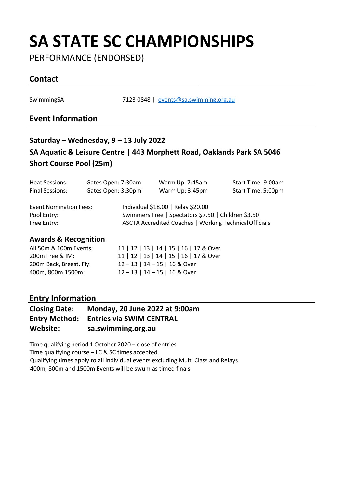PERFORMANCE (ENDORSED)

### **Contact**

SwimmingSA 7123 0848 | [events@sa.swimming.org.au](mailto:events@sa.swimming.org.au)

#### **Event Information**

### **Saturday – Wednesday, 9 – 13 July 2022 SA Aquatic & Leisure Centre | 443 Morphett Road, Oaklands Park SA 5046 Short Course Pool (25m)**

| Heat Sessions:                |  | Gates Open: 7:30am | Warm Up: 7:45am                                               | Start Time: 9:00am |  |  |
|-------------------------------|--|--------------------|---------------------------------------------------------------|--------------------|--|--|
| Final Sessions:               |  | Gates Open: 3:30pm | Warm Up: 3:45pm                                               | Start Time: 5:00pm |  |  |
| <b>Event Nomination Fees:</b> |  |                    | Individual \$18.00   Relay \$20.00                            |                    |  |  |
| Pool Entry:                   |  |                    | Swimmers Free   Spectators \$7.50   Children \$3.50           |                    |  |  |
| Free Entry:                   |  |                    | <b>ASCTA Accredited Coaches   Working Technical Officials</b> |                    |  |  |
|                               |  |                    |                                                               |                    |  |  |

#### **Awards & Recognition**

| All 50m & 100m Events:  | 11   12   13   14   15   16   17 & Over |
|-------------------------|-----------------------------------------|
| 200m Free & IM:         | 11   12   13   14   15   16   17 & Over |
| 200m Back, Breast, Fly: | 12-13   14-15   16 & Over               |
| 400m. 800m 1500m:       | $12 - 13$   $14 - 15$   16 & Over       |

#### **Entry Information**

| <b>Closing Date:</b> | Monday, 20 June 2022 at 9:00am                |
|----------------------|-----------------------------------------------|
|                      | <b>Entry Method: Entries via SWIM CENTRAL</b> |
| Website:             | sa.swimming.org.au                            |

Time qualifying period 1 October 2020 – close of entries Time qualifying course – LC & SC times accepted Qualifying times apply to all individual events excluding Multi Class and Relays 400m, 800m and 1500m Events will be swum as timed finals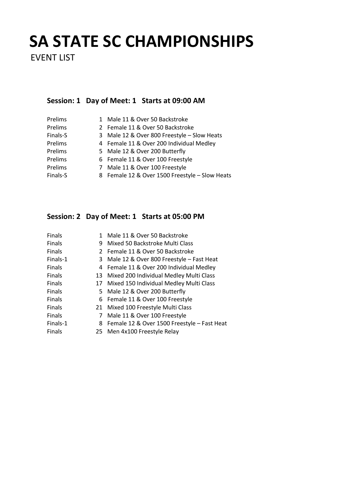EVENT LIST

#### **Session: 1 Day of Meet: 1 Starts at 09:00 AM**

| Prelims  |   | 1 Male 11 & Over 50 Backstroke                 |
|----------|---|------------------------------------------------|
| Prelims  |   | 2 Female 11 & Over 50 Backstroke               |
| Finals-S |   | 3 Male 12 & Over 800 Freestyle - Slow Heats    |
| Prelims  |   | 4 Female 11 & Over 200 Individual Medley       |
| Prelims  |   | 5 Male 12 & Over 200 Butterfly                 |
| Prelims  |   | 6 Female 11 & Over 100 Freestyle               |
| Prelims  | 7 | Male 11 & Over 100 Freestyle                   |
| Finals-S |   | 8 Female 12 & Over 1500 Freestyle - Slow Heats |

### **Session: 2 Day of Meet: 1 Starts at 05:00 PM**

| Finals   | 1  | Male 11 & Over 50 Backstroke                |
|----------|----|---------------------------------------------|
| Finals   | 9  | Mixed 50 Backstroke Multi Class             |
| Finals   |    | 2 Female 11 & Over 50 Backstroke            |
| Finals-1 | 3  | Male 12 & Over 800 Freestyle - Fast Heat    |
| Finals   |    | 4 Female 11 & Over 200 Individual Medley    |
| Finals   | 13 | Mixed 200 Individual Medley Multi Class     |
| Finals   | 17 | Mixed 150 Individual Medley Multi Class     |
| Finals   |    | 5 Male 12 & Over 200 Butterfly              |
| Finals   |    | 6 Female 11 & Over 100 Freestyle            |
| Finals   | 21 | Mixed 100 Freestyle Multi Class             |
| Finals   | 7  | Male 11 & Over 100 Freestyle                |
| Finals-1 | 8  | Female 12 & Over 1500 Freestyle - Fast Heat |
| Finals   |    | 25 Men 4x100 Freestyle Relay                |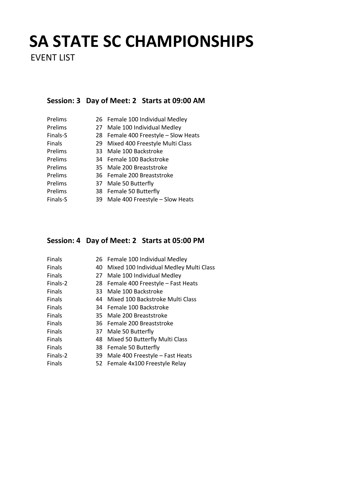EVENT LIST

#### **Session: 3 Day of Meet: 2 Starts at 09:00 AM**

| Prelims  |     | 26 Female 100 Individual Medley      |
|----------|-----|--------------------------------------|
| Prelims  | 27  | Male 100 Individual Medley           |
| Finals-S |     | 28 Female 400 Freestyle - Slow Heats |
| Finals   | 29  | Mixed 400 Freestyle Multi Class      |
| Prelims  | 33. | Male 100 Backstroke                  |
| Prelims  |     | 34 Female 100 Backstroke             |
| Prelims  |     | 35 Male 200 Breaststroke             |
| Prelims  |     | 36 Female 200 Breaststroke           |
| Prelims  | 37  | Male 50 Butterfly                    |
| Prelims  |     | 38 Female 50 Butterfly               |
| Finals-S | 39  | Male 400 Freestyle - Slow Heats      |

#### **Session: 4 Day of Meet: 2 Starts at 05:00 PM**

| Finals        |     | 26 Female 100 Individual Medley         |
|---------------|-----|-----------------------------------------|
| Finals        | 40  | Mixed 100 Individual Medley Multi Class |
| Finals        | 27  | Male 100 Individual Medley              |
| Finals-2      | 28  | Female 400 Freestyle - Fast Heats       |
| Finals        | 33. | Male 100 Backstroke                     |
| Finals        | 44  | Mixed 100 Backstroke Multi Class        |
| Finals        |     | 34 Female 100 Backstroke                |
| Finals        | 35. | Male 200 Breaststroke                   |
| Finals        |     | 36 Female 200 Breaststroke              |
| Finals        |     | 37 Male 50 Butterfly                    |
| <b>Finals</b> | 48  | Mixed 50 Butterfly Multi Class          |
| Finals        |     | 38 Female 50 Butterfly                  |
| Finals-2      | 39  | Male 400 Freestyle - Fast Heats         |
| Finals        |     | 52 Female 4x100 Freestyle Relay         |
|               |     |                                         |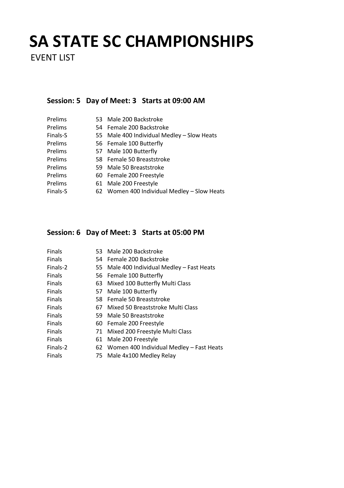EVENT LIST

### **Session: 5 Day of Meet: 3 Starts at 09:00 AM**

| Prelims  | 53 Male 200 Backstroke                      |
|----------|---------------------------------------------|
| Prelims  | 54 Female 200 Backstroke                    |
| Finals-S | 55 Male 400 Individual Medley - Slow Heats  |
| Prelims  | 56 Female 100 Butterfly                     |
| Prelims  | 57 Male 100 Butterfly                       |
| Prelims  | 58 Female 50 Breaststroke                   |
| Prelims  | 59 Male 50 Breaststroke                     |
| Prelims  | 60 Female 200 Freestyle                     |
| Prelims  | 61 Male 200 Freestyle                       |
| Finals-S | 62 Women 400 Individual Medley - Slow Heats |

### **Session: 6 Day of Meet: 3 Starts at 05:00 PM**

| Finals        |    | 53 Male 200 Backstroke                      |
|---------------|----|---------------------------------------------|
| Finals        |    | 54 Female 200 Backstroke                    |
| Finals-2      |    | 55 Male 400 Individual Medley - Fast Heats  |
| <b>Finals</b> |    | 56 Female 100 Butterfly                     |
| Finals        |    | 63 Mixed 100 Butterfly Multi Class          |
| <b>Finals</b> |    | 57 Male 100 Butterfly                       |
| Finals        |    | 58 Female 50 Breaststroke                   |
| Finals        | 67 | Mixed 50 Breaststroke Multi Class           |
| <b>Finals</b> | 59 | Male 50 Breaststroke                        |
| Finals        |    | 60 Female 200 Freestyle                     |
| Finals        |    | 71 Mixed 200 Freestyle Multi Class          |
| Finals        | 61 | Male 200 Freestyle                          |
| Finals-2      |    | 62 Women 400 Individual Medley - Fast Heats |
| Finals        |    | 75 Male 4x100 Medley Relay                  |
|               |    |                                             |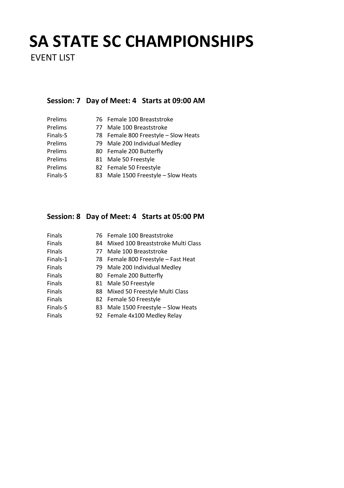EVENT LIST

### **Session: 7 Day of Meet: 4 Starts at 09:00 AM**

| Prelims  | 76 Female 100 Breaststroke           |
|----------|--------------------------------------|
| Prelims  | 77 Male 100 Breaststroke             |
| Finals-S | 78 Female 800 Freestyle - Slow Heats |
| Prelims  | 79 Male 200 Individual Medley        |
| Prelims  | 80 Female 200 Butterfly              |
| Prelims  | 81 Male 50 Freestyle                 |
| Prelims  | 82 Female 50 Freestyle               |
| Finals-S | 83 Male 1500 Freestyle - Slow Heats  |

### **Session: 8 Day of Meet: 4 Starts at 05:00 PM**

| Finals        |    | 76 Female 100 Breaststroke          |
|---------------|----|-------------------------------------|
| Finals        | 84 | Mixed 100 Breaststroke Multi Class  |
| <b>Finals</b> | 77 | Male 100 Breaststroke               |
| Finals-1      |    | 78 Female 800 Freestyle - Fast Heat |
| Finals        |    | 79 Male 200 Individual Medley       |
| Finals        |    | 80 Female 200 Butterfly             |
| Finals        |    | 81 Male 50 Freestyle                |
| <b>Finals</b> |    | 88 Mixed 50 Freestyle Multi Class   |
| Finals        |    | 82 Female 50 Freestyle              |
| Finals-S      | 83 | Male 1500 Freestyle - Slow Heats    |
| Finals        |    | 92 Female 4x100 Medlev Relav        |